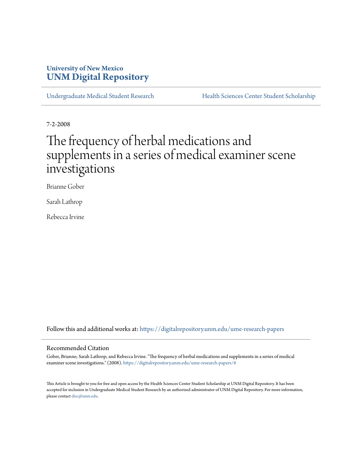# **University of New Mexico [UNM Digital Repository](https://digitalrepository.unm.edu?utm_source=digitalrepository.unm.edu%2Fume-research-papers%2F6&utm_medium=PDF&utm_campaign=PDFCoverPages)**

[Undergraduate Medical Student Research](https://digitalrepository.unm.edu/ume-research-papers?utm_source=digitalrepository.unm.edu%2Fume-research-papers%2F6&utm_medium=PDF&utm_campaign=PDFCoverPages) [Health Sciences Center Student Scholarship](https://digitalrepository.unm.edu/hsc-students?utm_source=digitalrepository.unm.edu%2Fume-research-papers%2F6&utm_medium=PDF&utm_campaign=PDFCoverPages)

7-2-2008

# The frequency of herbal medications and supplements in a series of medical examiner scene investigations

Brianne Gober

Sarah Lathrop

Rebecca Irvine

Follow this and additional works at: [https://digitalrepository.unm.edu/ume-research-papers](https://digitalrepository.unm.edu/ume-research-papers?utm_source=digitalrepository.unm.edu%2Fume-research-papers%2F6&utm_medium=PDF&utm_campaign=PDFCoverPages)

## Recommended Citation

Gober, Brianne; Sarah Lathrop; and Rebecca Irvine. "The frequency of herbal medications and supplements in a series of medical examiner scene investigations." (2008). [https://digitalrepository.unm.edu/ume-research-papers/6](https://digitalrepository.unm.edu/ume-research-papers/6?utm_source=digitalrepository.unm.edu%2Fume-research-papers%2F6&utm_medium=PDF&utm_campaign=PDFCoverPages)

This Article is brought to you for free and open access by the Health Sciences Center Student Scholarship at UNM Digital Repository. It has been accepted for inclusion in Undergraduate Medical Student Research by an authorized administrator of UNM Digital Repository. For more information, please contact [disc@unm.edu.](mailto:disc@unm.edu)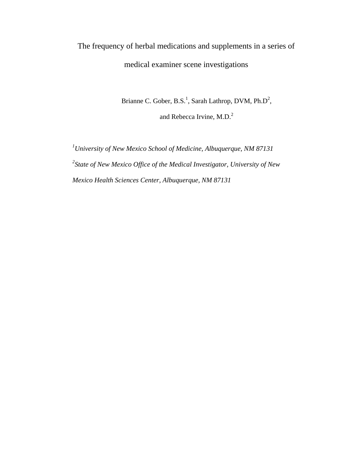# The frequency of herbal medications and supplements in a series of medical examiner scene investigations

Brianne C. Gober,  $B.S.^1$ , Sarah Lathrop, DVM,  $Ph.D^2$ , and Rebecca Irvine, M.D.<sup>2</sup>

*1 University of New Mexico School of Medicine, Albuquerque, NM 87131 2 State of New Mexico Office of the Medical Investigator, University of New Mexico Health Sciences Center, Albuquerque, NM 87131*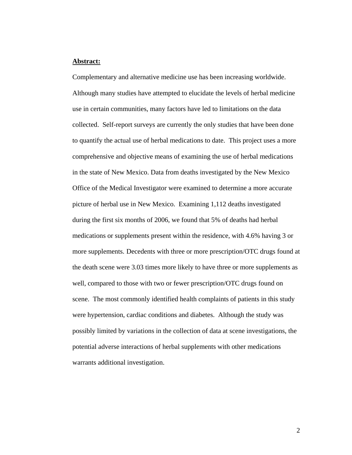## **Abstract:**

Complementary and alternative medicine use has been increasing worldwide. Although many studies have attempted to elucidate the levels of herbal medicine use in certain communities, many factors have led to limitations on the data collected. Self-report surveys are currently the only studies that have been done to quantify the actual use of herbal medications to date. This project uses a more comprehensive and objective means of examining the use of herbal medications in the state of New Mexico. Data from deaths investigated by the New Mexico Office of the Medical Investigator were examined to determine a more accurate picture of herbal use in New Mexico. Examining 1,112 deaths investigated during the first six months of 2006, we found that 5% of deaths had herbal medications or supplements present within the residence, with 4.6% having 3 or more supplements. Decedents with three or more prescription/OTC drugs found at the death scene were 3.03 times more likely to have three or more supplements as well, compared to those with two or fewer prescription/OTC drugs found on scene. The most commonly identified health complaints of patients in this study were hypertension, cardiac conditions and diabetes. Although the study was possibly limited by variations in the collection of data at scene investigations, the potential adverse interactions of herbal supplements with other medications warrants additional investigation.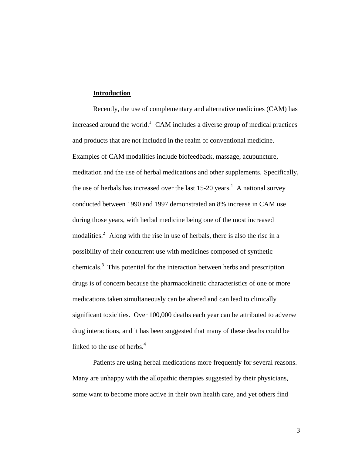#### **Introduction**

Recently, the use of complementary and alternative medicines (CAM) has increased around the world.<sup>1</sup> CAM includes a diverse group of medical practices and products that are not included in the realm of conventional medicine. Examples of CAM modalities include biofeedback, massage, acupuncture, meditation and the use of herbal medications and other supplements. Specifically, the use of herbals has increased over the last  $15{\text -}20$  years.<sup>1</sup> A national survey conducted between 1990 and 1997 demonstrated an 8% increase in CAM use during those years, with herbal medicine being one of the most increased modalities.<sup>2</sup> Along with the rise in use of herbals, there is also the rise in a possibility of their concurrent use with medicines composed of synthetic chemicals. $3$  This potential for the interaction between herbs and prescription drugs is of concern because the pharmacokinetic characteristics of one or more medications taken simultaneously can be altered and can lead to clinically significant toxicities. Over 100,000 deaths each year can be attributed to adverse drug interactions, and it has been suggested that many of these deaths could be linked to the use of herbs. $4$ 

 Patients are using herbal medications more frequently for several reasons. Many are unhappy with the allopathic therapies suggested by their physicians, some want to become more active in their own health care, and yet others find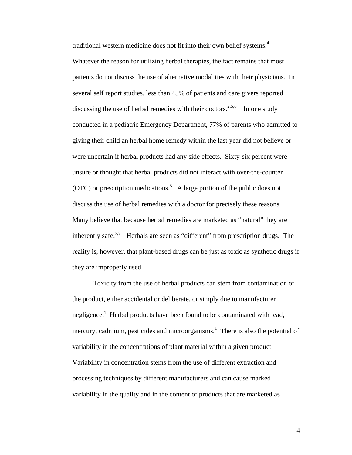traditional western medicine does not fit into their own belief systems.<sup>4</sup> Whatever the reason for utilizing herbal therapies, the fact remains that most patients do not discuss the use of alternative modalities with their physicians. In several self report studies, less than 45% of patients and care givers reported discussing the use of herbal remedies with their doctors.<sup>2,5,6</sup> In one study conducted in a pediatric Emergency Department, 77% of parents who admitted to giving their child an herbal home remedy within the last year did not believe or were uncertain if herbal products had any side effects. Sixty-six percent were unsure or thought that herbal products did not interact with over-the-counter (OTC) or prescription medications.<sup>5</sup> A large portion of the public does not discuss the use of herbal remedies with a doctor for precisely these reasons. Many believe that because herbal remedies are marketed as "natural" they are inherently safe.<sup>7,8</sup> Herbals are seen as "different" from prescription drugs. The reality is, however, that plant-based drugs can be just as toxic as synthetic drugs if they are improperly used.

Toxicity from the use of herbal products can stem from contamination of the product, either accidental or deliberate, or simply due to manufacturer negligence.<sup>1</sup> Herbal products have been found to be contaminated with lead, mercury, cadmium, pesticides and microorganisms.<sup>1</sup> There is also the potential of variability in the concentrations of plant material within a given product. Variability in concentration stems from the use of different extraction and processing techniques by different manufacturers and can cause marked variability in the quality and in the content of products that are marketed as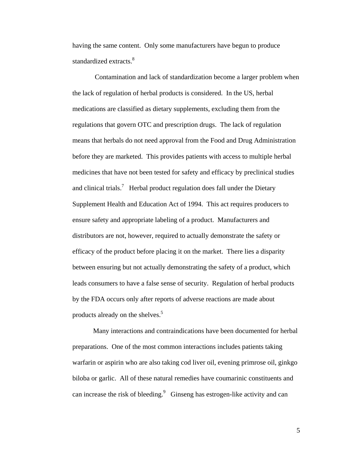having the same content. Only some manufacturers have begun to produce standardized extracts.<sup>8</sup>

 Contamination and lack of standardization become a larger problem when the lack of regulation of herbal products is considered. In the US, herbal medications are classified as dietary supplements, excluding them from the regulations that govern OTC and prescription drugs. The lack of regulation means that herbals do not need approval from the Food and Drug Administration before they are marketed. This provides patients with access to multiple herbal medicines that have not been tested for safety and efficacy by preclinical studies and clinical trials.<sup>7</sup> Herbal product regulation does fall under the Dietary Supplement Health and Education Act of 1994. This act requires producers to ensure safety and appropriate labeling of a product. Manufacturers and distributors are not, however, required to actually demonstrate the safety or efficacy of the product before placing it on the market. There lies a disparity between ensuring but not actually demonstrating the safety of a product, which leads consumers to have a false sense of security. Regulation of herbal products by the FDA occurs only after reports of adverse reactions are made about products already on the shelves.<sup>5</sup>

Many interactions and contraindications have been documented for herbal preparations. One of the most common interactions includes patients taking warfarin or aspirin who are also taking cod liver oil, evening primrose oil, ginkgo biloba or garlic. All of these natural remedies have coumarinic constituents and can increase the risk of bleeding. $9$  Ginseng has estrogen-like activity and can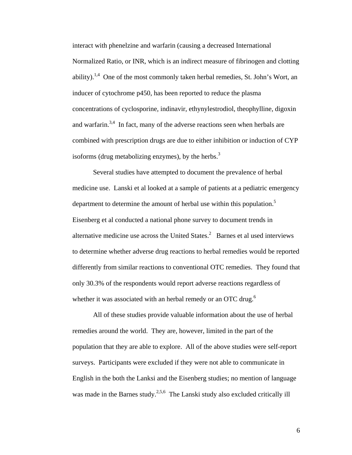interact with phenelzine and warfarin (causing a decreased International Normalized Ratio, or INR, which is an indirect measure of fibrinogen and clotting ability).<sup>1,4</sup> One of the most commonly taken herbal remedies, St. John's Wort, an inducer of cytochrome p450, has been reported to reduce the plasma concentrations of cyclosporine, indinavir, ethynylestrodiol, theophylline, digoxin and warfarin.<sup>3,4</sup> In fact, many of the adverse reactions seen when herbals are combined with prescription drugs are due to either inhibition or induction of CYP isoforms (drug metabolizing enzymes), by the herbs.<sup>3</sup>

Several studies have attempted to document the prevalence of herbal medicine use. Lanski et al looked at a sample of patients at a pediatric emergency department to determine the amount of herbal use within this population.<sup>5</sup> Eisenberg et al conducted a national phone survey to document trends in alternative medicine use across the United States. $^2$  Barnes et al used interviews to determine whether adverse drug reactions to herbal remedies would be reported differently from similar reactions to conventional OTC remedies. They found that only 30.3% of the respondents would report adverse reactions regardless of whether it was associated with an herbal remedy or an OTC drug.<sup>6</sup>

All of these studies provide valuable information about the use of herbal remedies around the world. They are, however, limited in the part of the population that they are able to explore. All of the above studies were self-report surveys. Participants were excluded if they were not able to communicate in English in the both the Lanksi and the Eisenberg studies; no mention of language was made in the Barnes study.<sup>2,5,6</sup> The Lanski study also excluded critically ill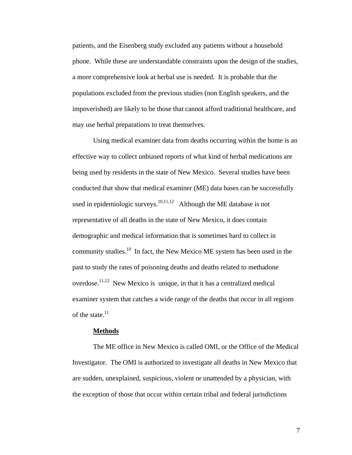patients, and the Eisenberg study excluded any patients without a household phone. While these are understandable constraints upon the design of the studies, a more comprehensive look at herbal use is needed. It is probable that the populations excluded from the previous studies (non English speakers, and the impoverished) are likely to be those that cannot afford traditional healthcare, and may use herbal preparations to treat themselves.

Using medical examiner data from deaths occurring within the home is an effective way to collect unbiased reports of what kind of herbal medications are being used by residents in the state of New Mexico. Several studies have been conducted that show that medical examiner (ME) data bases can be successfully used in epidemiologic surveys.<sup>10,11,12</sup> Although the ME database is not representative of all deaths in the state of New Mexico, it does contain demographic and medical information that is sometimes hard to collect in community studies.<sup>10</sup> In fact, the New Mexico ME system has been used in the past to study the rates of poisoning deaths and deaths related to methadone overdose.11,12 New Mexico is unique, in that it has a centralized medical examiner system that catches a wide range of the deaths that occur in all regions of the state. $11$ 

#### **Methods**

The ME office in New Mexico is called OMI, or the Office of the Medical Investigator. The OMI is authorized to investigate all deaths in New Mexico that are sudden, unexplained, suspicious, violent or unattended by a physician, with the exception of those that occur within certain tribal and federal jurisdictions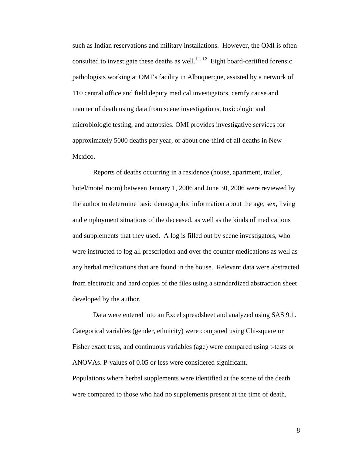such as Indian reservations and military installations. However, the OMI is often consulted to investigate these deaths as well.<sup>11, 12</sup> Eight board-certified forensic pathologists working at OMI's facility in Albuquerque, assisted by a network of 110 central office and field deputy medical investigators, certify cause and manner of death using data from scene investigations, toxicologic and microbiologic testing, and autopsies. OMI provides investigative services for approximately 5000 deaths per year, or about one-third of all deaths in New Mexico.

Reports of deaths occurring in a residence (house, apartment, trailer, hotel/motel room) between January 1, 2006 and June 30, 2006 were reviewed by the author to determine basic demographic information about the age, sex, living and employment situations of the deceased, as well as the kinds of medications and supplements that they used. A log is filled out by scene investigators, who were instructed to log all prescription and over the counter medications as well as any herbal medications that are found in the house. Relevant data were abstracted from electronic and hard copies of the files using a standardized abstraction sheet developed by the author.

Data were entered into an Excel spreadsheet and analyzed using SAS 9.1. Categorical variables (gender, ethnicity) were compared using Chi-square or Fisher exact tests, and continuous variables (age) were compared using t-tests or ANOVAs. P-values of 0.05 or less were considered significant. Populations where herbal supplements were identified at the scene of the death were compared to those who had no supplements present at the time of death,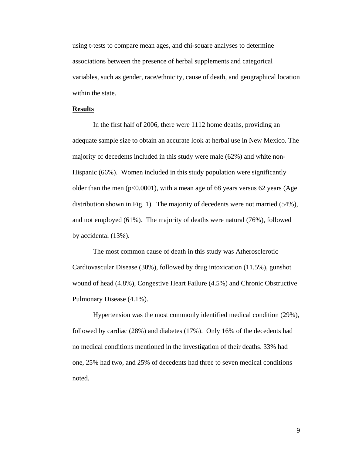using t-tests to compare mean ages, and chi-square analyses to determine associations between the presence of herbal supplements and categorical variables, such as gender, race/ethnicity, cause of death, and geographical location within the state.

## **Results**

In the first half of 2006, there were 1112 home deaths, providing an adequate sample size to obtain an accurate look at herbal use in New Mexico. The majority of decedents included in this study were male (62%) and white non-Hispanic (66%). Women included in this study population were significantly older than the men ( $p<0.0001$ ), with a mean age of 68 years versus 62 years (Age distribution shown in Fig. 1). The majority of decedents were not married (54%), and not employed (61%). The majority of deaths were natural (76%), followed by accidental (13%).

The most common cause of death in this study was Atherosclerotic Cardiovascular Disease (30%), followed by drug intoxication (11.5%), gunshot wound of head (4.8%), Congestive Heart Failure (4.5%) and Chronic Obstructive Pulmonary Disease (4.1%).

Hypertension was the most commonly identified medical condition (29%), followed by cardiac (28%) and diabetes (17%). Only 16% of the decedents had no medical conditions mentioned in the investigation of their deaths. 33% had one, 25% had two, and 25% of decedents had three to seven medical conditions noted.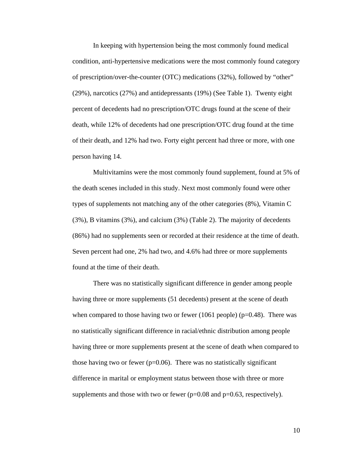In keeping with hypertension being the most commonly found medical condition, anti-hypertensive medications were the most commonly found category of prescription/over-the-counter (OTC) medications (32%), followed by "other" (29%), narcotics (27%) and antidepressants (19%) (See Table 1). Twenty eight percent of decedents had no prescription/OTC drugs found at the scene of their death, while 12% of decedents had one prescription/OTC drug found at the time of their death, and 12% had two. Forty eight percent had three or more, with one person having 14.

Multivitamins were the most commonly found supplement, found at 5% of the death scenes included in this study. Next most commonly found were other types of supplements not matching any of the other categories (8%), Vitamin C (3%), B vitamins (3%), and calcium (3%) (Table 2). The majority of decedents (86%) had no supplements seen or recorded at their residence at the time of death. Seven percent had one, 2% had two, and 4.6% had three or more supplements found at the time of their death.

There was no statistically significant difference in gender among people having three or more supplements (51 decedents) present at the scene of death when compared to those having two or fewer (1061 people) ( $p=0.48$ ). There was no statistically significant difference in racial/ethnic distribution among people having three or more supplements present at the scene of death when compared to those having two or fewer ( $p=0.06$ ). There was no statistically significant difference in marital or employment status between those with three or more supplements and those with two or fewer ( $p=0.08$  and  $p=0.63$ , respectively).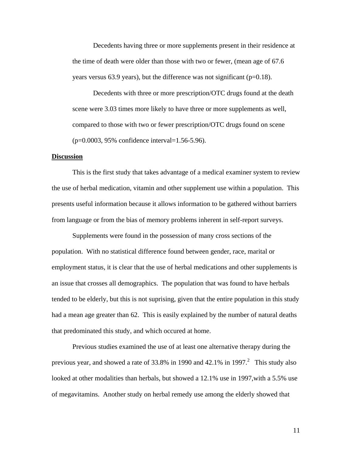Decedents having three or more supplements present in their residence at the time of death were older than those with two or fewer, (mean age of 67.6 years versus  $63.9$  years), but the difference was not significant ( $p=0.18$ ).

Decedents with three or more prescription/OTC drugs found at the death scene were 3.03 times more likely to have three or more supplements as well, compared to those with two or fewer prescription/OTC drugs found on scene (p=0.0003, 95% confidence interval=1.56-5.96).

## **Discussion**

 This is the first study that takes advantage of a medical examiner system to review the use of herbal medication, vitamin and other supplement use within a population. This presents useful information because it allows information to be gathered without barriers from language or from the bias of memory problems inherent in self-report surveys.

 Supplements were found in the possession of many cross sections of the population. With no statistical difference found between gender, race, marital or employment status, it is clear that the use of herbal medications and other supplements is an issue that crosses all demographics. The population that was found to have herbals tended to be elderly, but this is not suprising, given that the entire population in this study had a mean age greater than 62. This is easily explained by the number of natural deaths that predominated this study, and which occured at home.

 Previous studies examined the use of at least one alternative therapy during the previous year, and showed a rate of 33.8% in 1990 and  $42.1\%$  in 1997.<sup>2</sup> This study also looked at other modalities than herbals, but showed a 12.1% use in 1997, with a 5.5% use of megavitamins. Another study on herbal remedy use among the elderly showed that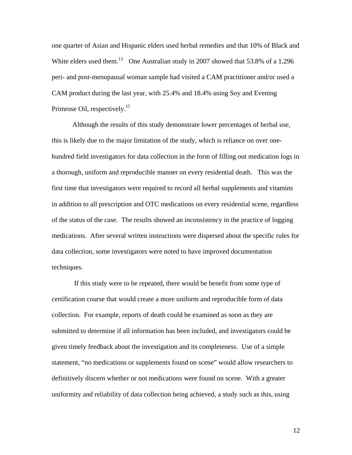one quarter of Asian and Hispanic elders used herbal remedies and that 10% of Black and White elders used them.<sup>13</sup> One Australian study in 2007 showed that 53.8% of a 1,296 peri- and post-menopausal woman sample had visited a CAM practitioner and/or used a CAM product during the last year, with 25.4% and 18.4% using Soy and Evening Primrose Oil, respectively.<sup>15</sup>

 Although the results of this study demonstrate lower percentages of herbal use, this is likely due to the major limitation of the study, which is reliance on over onehundred field investigators for data collection in the form of filling out medication logs in a thorough, uniform and reproducible manner on every residential death. This was the first time that investigators were required to record all herbal supplements and vitamins in addition to all prescription and OTC medications on every residential scene, regardless of the status of the case. The results showed an inconsistency in the practice of logging medications. After several written instructions were dispersed about the specific rules for data collection, some investigators were noted to have improved documentation techniques.

 If this study were to be repeated, there would be benefit from some type of certification course that would create a more uniform and reproducible form of data collection. For example, reports of death could be examined as soon as they are submitted to determine if all information has been included, and investigators could be given timely feedback about the investigation and its completeness. Use of a simple statement, "no medications or supplements found on scene" would allow researchers to definitively discern whether or not medications were found on scene. With a greater uniformity and reliability of data collection being achieved, a study such as this, using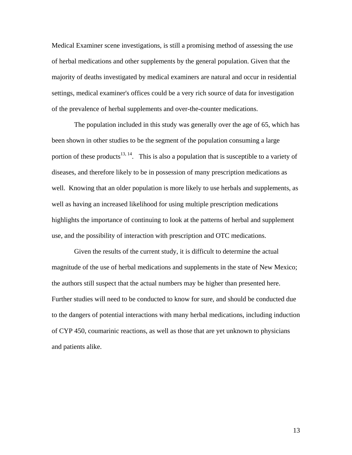Medical Examiner scene investigations, is still a promising method of assessing the use of herbal medications and other supplements by the general population. Given that the majority of deaths investigated by medical examiners are natural and occur in residential settings, medical examiner's offices could be a very rich source of data for investigation of the prevalence of herbal supplements and over-the-counter medications.

 The population included in this study was generally over the age of 65, which has been shown in other studies to be the segment of the population consuming a large portion of these products<sup>13, 14</sup>. This is also a population that is susceptible to a variety of diseases, and therefore likely to be in possession of many prescription medications as well. Knowing that an older population is more likely to use herbals and supplements, as well as having an increased likelihood for using multiple prescription medications highlights the importance of continuing to look at the patterns of herbal and supplement use, and the possibility of interaction with prescription and OTC medications.

 Given the results of the current study, it is difficult to determine the actual magnitude of the use of herbal medications and supplements in the state of New Mexico; the authors still suspect that the actual numbers may be higher than presented here. Further studies will need to be conducted to know for sure, and should be conducted due to the dangers of potential interactions with many herbal medications, including induction of CYP 450, coumarinic reactions, as well as those that are yet unknown to physicians and patients alike.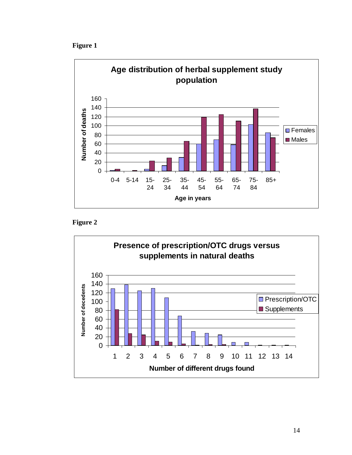**Figure 1** 





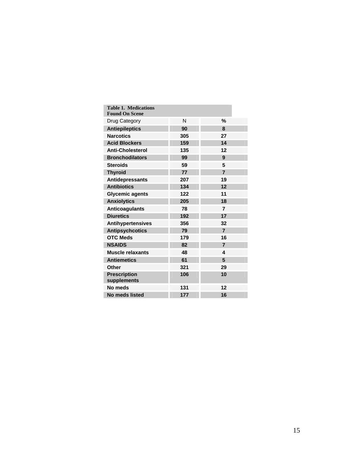| <b>Table 1. Medications</b><br><b>Found On Scene</b> |     |                |
|------------------------------------------------------|-----|----------------|
| Drug Category                                        | N   | %              |
| <b>Antiepileptics</b>                                | 90  | 8              |
| <b>Narcotics</b>                                     | 305 | 27             |
| <b>Acid Blockers</b>                                 | 159 | 14             |
| <b>Anti-Cholesterol</b>                              | 135 | 12             |
| <b>Bronchodilators</b>                               | 99  | 9              |
| <b>Steroids</b>                                      | 59  | 5              |
| <b>Thyroid</b>                                       | 77  | $\overline{7}$ |
| <b>Antidepressants</b>                               | 207 | 19             |
| <b>Antibiotics</b>                                   | 134 | 12             |
| <b>Glycemic agents</b>                               | 122 | 11             |
| <b>Anxiolytics</b>                                   | 205 | 18             |
| <b>Anticoagulants</b>                                | 78  | $\overline{7}$ |
| <b>Diuretics</b>                                     | 192 | 17             |
| <b>Antihypertensives</b>                             | 356 | 32             |
| <b>Antipsychcotics</b>                               | 79  | $\overline{7}$ |
| <b>OTC Meds</b>                                      | 179 | 16             |
| <b>NSAIDS</b>                                        | 82  | $\overline{7}$ |
| <b>Muscle relaxants</b>                              | 48  | 4              |
| <b>Antiemetics</b>                                   | 61  | 5              |
| Other                                                | 321 | 29             |
| <b>Prescription</b><br>supplements                   | 106 | 10             |
| No meds                                              | 131 | 12             |
| No meds listed                                       | 177 | 16             |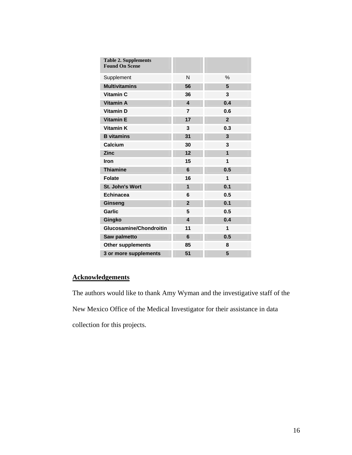| <b>Table 2. Supplements</b><br><b>Found On Scene</b> |                         |                |
|------------------------------------------------------|-------------------------|----------------|
| Supplement                                           | N                       | $\%$           |
| <b>Multivitamins</b>                                 | 56                      | 5              |
| Vitamin C                                            | 36                      | 3              |
| <b>Vitamin A</b>                                     | $\overline{\mathbf{4}}$ | 0.4            |
| <b>Vitamin D</b>                                     | $\overline{7}$          | 0.6            |
| <b>Vitamin E</b>                                     | 17                      | $\overline{2}$ |
| <b>Vitamin K</b>                                     | 3                       | 0.3            |
| <b>B</b> vitamins                                    | 31                      | 3              |
| Calcium                                              | 30                      | 3              |
| <b>Zinc</b>                                          | 12                      | 1              |
| Iron                                                 | 15                      | 1              |
| <b>Thiamine</b>                                      | 6                       | 0.5            |
| <b>Folate</b>                                        | 16                      | 1              |
| St. John's Wort                                      | $\mathbf{1}$            | 0.1            |
| <b>Echinacea</b>                                     | 6                       | 0.5            |
| Ginseng                                              | $\overline{2}$          | 0.1            |
| Garlic                                               | 5                       | 0.5            |
| Gingko                                               | $\overline{\mathbf{4}}$ | 0.4            |
| <b>Glucosamine/Chondroitin</b>                       | 11                      | 1              |
| Saw palmetto                                         | 6                       | 0.5            |
| <b>Other supplements</b>                             | 85                      | 8              |
| 3 or more supplements                                | 51                      | 5              |

# **Acknowledgements**

The authors would like to thank Amy Wyman and the investigative staff of the New Mexico Office of the Medical Investigator for their assistance in data collection for this projects.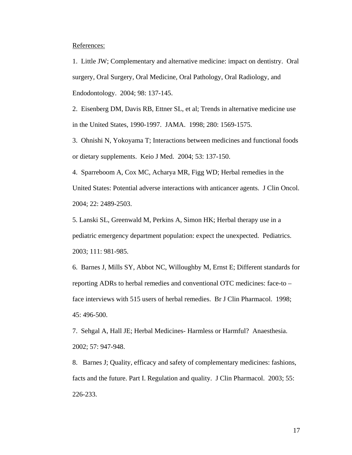References:

1. Little JW; Complementary and alternative medicine: impact on dentistry. Oral surgery, Oral Surgery, Oral Medicine, Oral Pathology, Oral Radiology, and Endodontology. 2004; 98: 137-145.

2. Eisenberg DM, Davis RB, Ettner SL, et al; Trends in alternative medicine use in the United States, 1990-1997. JAMA. 1998; 280: 1569-1575.

3. Ohnishi N, Yokoyama T; Interactions between medicines and functional foods or dietary supplements. Keio J Med. 2004; 53: 137-150.

4. Sparreboom A, Cox MC, Acharya MR, Figg WD; Herbal remedies in the United States: Potential adverse interactions with anticancer agents. J Clin Oncol. 2004; 22: 2489-2503.

5. Lanski SL, Greenwald M, Perkins A, Simon HK; Herbal therapy use in a pediatric emergency department population: expect the unexpected. Pediatrics. 2003; 111: 981-985.

6. Barnes J, Mills SY, Abbot NC, Willoughby M, Ernst E; Different standards for reporting ADRs to herbal remedies and conventional OTC medicines: face-to – face interviews with 515 users of herbal remedies. Br J Clin Pharmacol. 1998; 45: 496-500.

7. Sehgal A, Hall JE; Herbal Medicines- Harmless or Harmful? Anaesthesia. 2002; 57: 947-948.

8. Barnes J; Quality, efficacy and safety of complementary medicines: fashions, facts and the future. Part I. Regulation and quality. J Clin Pharmacol. 2003; 55: 226-233.